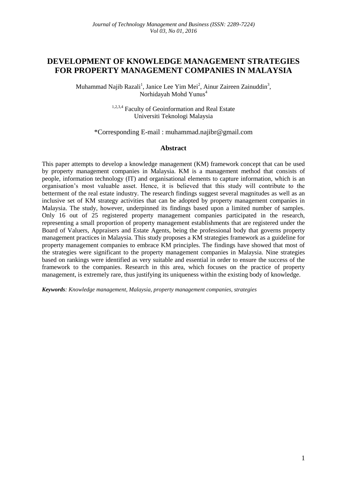# **DEVELOPMENT OF KNOWLEDGE MANAGEMENT STRATEGIES FOR PROPERTY MANAGEMENT COMPANIES IN MALAYSIA**

Muhammad Najib Razali<sup>1</sup>, Janice Lee Yim Mei<sup>2</sup>, Ainur Zaireen Zainuddin<sup>3</sup>, Norhidayah Mohd Yunus<sup>4</sup>

> 1,2,3,4 Faculty of Geoinformation and Real Estate Universiti Teknologi Malaysia

### \*Corresponding E-mail : muhammad.najibr@gmail.com

### **Abstract**

This paper attempts to develop a knowledge management (KM) framework concept that can be used by property management companies in Malaysia. KM is a management method that consists of people, information technology (IT) and organisational elements to capture information, which is an organisation's most valuable asset. Hence, it is believed that this study will contribute to the betterment of the real estate industry. The research findings suggest several magnitudes as well as an inclusive set of KM strategy activities that can be adopted by property management companies in Malaysia. The study, however, underpinned its findings based upon a limited number of samples. Only 16 out of 25 registered property management companies participated in the research, representing a small proportion of property management establishments that are registered under the Board of Valuers, Appraisers and Estate Agents, being the professional body that governs property management practices in Malaysia. This study proposes a KM strategies framework as a guideline for property management companies to embrace KM principles. The findings have showed that most of the strategies were significant to the property management companies in Malaysia. Nine strategies based on rankings were identified as very suitable and essential in order to ensure the success of the framework to the companies. Research in this area, which focuses on the practice of property management, is extremely rare, thus justifying its uniqueness within the existing body of knowledge.

*Keywords: Knowledge management, Malaysia, property management companies, strategies*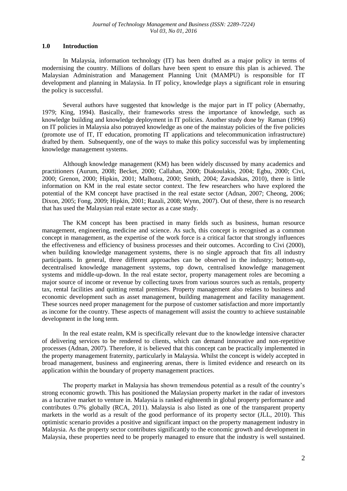#### **1.0 Introduction**

In Malaysia, information technology (IT) has been drafted as a major policy in terms of modernising the country. Millions of dollars have been spent to ensure this plan is achieved. The Malaysian Administration and Management Planning Unit (MAMPU) is responsible for IT development and planning in Malaysia. In IT policy, knowledge plays a significant role in ensuring the policy is successful.

Several authors have suggested that knowledge is the major part in IT policy (Abernathy, 1979; King, 1994). Basically, their frameworks stress the importance of knowledge, such as knowledge building and knowledge deployment in IT policies. Another study done by Raman (1996) on IT policies in Malaysia also potrayed knowledge as one of the mainstay policies of the five policies (promote use of IT, IT education, promoting IT applications and telecommunication infrastructure) drafted by them. Subsequently, one of the ways to make this policy successful was by implementing knowledge management systems.

Although knowledge management (KM) has been widely discussed by many academics and practitioners (Aurum, 2008; Becket, 2000; Callahan, 2000; Diakoulakis, 2004; Egbu, 2000; Civi, 2000; Grenon, 2000; Hipkin, 2001; Malhotra, 2000; Smith, 2004; Zavadskas, 2010), there is little information on KM in the real estate sector context. The few researchers who have explored the potential of the KM concept have practised in the real estate sector (Adnan, 2007; Cheong, 2006; Dixon, 2005; Fong, 2009; Hipkin, 2001; Razali, 2008; Wynn, 2007). Out of these, there is no research that has used the Malaysian real estate sector as a case study.

The KM concept has been practised in many fields such as business, human resource management, engineering, medicine and science. As such, this concept is recognised as a common concept in management, as the expertise of the work force is a critical factor that strongly influences the effectiveness and efficiency of business processes and their outcomes. According to Civi (2000), when building knowledge management systems, there is no single approach that fits all industry participants. In general, three different approaches can be observed in the industry; bottom-up, decentralised knowledge management systems, top down, centralised knowledge management systems and middle-up-down. In the real estate sector, property management roles are becoming a major source of income or revenue by collecting taxes from various sources such as rentals, property tax, rental facilities and quitting rental premises. Property management also relates to business and economic development such as asset management, building management and facility management. These sources need proper management for the purpose of customer satisfaction and more importantly as income for the country. These aspects of management will assist the country to achieve sustainable development in the long term.

In the real estate realm, KM is specifically relevant due to the knowledge intensive character of delivering services to be rendered to clients, which can demand innovative and non-repetitive processes (Adnan, 2007). Therefore, it is believed that this concept can be practically implemented in the property management fraternity, particularly in Malaysia. Whilst the concept is widely accepted in broad management, business and engineering arenas, there is limited evidence and research on its application within the boundary of property management practices.

The property market in Malaysia has shown tremendous potential as a result of the country's strong economic growth. This has positioned the Malaysian property market in the radar of investors as a lucrative market to venture in. Malaysia is ranked eighteenth in global property performance and contributes 0.7% globally (RCA, 2011). Malaysia is also listed as one of the transparent property markets in the world as a result of the good performance of its property sector (JLL, 2010). This optimistic scenario provides a positive and significant impact on the property management industry in Malaysia. As the property sector contributes significantly to the economic growth and development in Malaysia, these properties need to be properly managed to ensure that the industry is well sustained.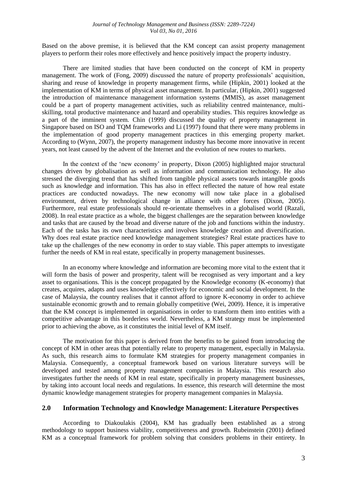Based on the above premise, it is believed that the KM concept can assist property management players to perform their roles more effectively and hence positively impact the property industry.

There are limited studies that have been conducted on the concept of KM in property management. The work of (Fong, 2009) discussed the nature of property professionals' acquisition, sharing and reuse of knowledge in property management firms, while (Hipkin, 2001) looked at the implementation of KM in terms of physical asset management. In particular, (Hipkin, 2001) suggested the introduction of maintenance management information systems (MMIS), as asset management could be a part of property management activities, such as reliability centred maintenance, multiskilling, total productive maintenance and hazard and operability studies. This requires knowledge as a part of the imminent system. Chin (1999) discussed the quality of property management in Singapore based on ISO and TQM frameworks and Li (1997) found that there were many problems in the implementation of good property management practices in this emerging property market. According to (Wynn, 2007), the property management industry has become more innovative in recent years, not least caused by the advent of the Internet and the evolution of new routes to markets.

In the context of the 'new economy' in property, Dixon (2005) highlighted major structural changes driven by globalisation as well as information and communication technology. He also stressed the diverging trend that has shifted from tangible physical assets towards intangible goods such as knowledge and information. This has also in effect reflected the nature of how real estate practices are conducted nowadays. The new economy will now take place in a globalised environment, driven by technological change in alliance with other forces (Dixon, 2005). Furthermore, real estate professionals should re-orientate themselves in a globalised world (Razali, 2008). In real estate practice as a whole, the biggest challenges are the separation between knowledge and tasks that are caused by the broad and diverse nature of the job and functions within the industry. Each of the tasks has its own characteristics and involves knowledge creation and diversification. Why does real estate practice need knowledge management strategies? Real estate practices have to take up the challenges of the new economy in order to stay viable. This paper attempts to investigate further the needs of KM in real estate, specifically in property management businesses.

In an economy where knowledge and information are becoming more vital to the extent that it will form the basis of power and prosperity, talent will be recognised as very important and a key asset to organisations. This is the concept propagated by the Knowledge economy (K-economy) that creates, acquires, adapts and uses knowledge effectively for economic and social development. In the case of Malaysia, the country realises that it cannot afford to ignore K-economy in order to achieve sustainable economic growth and to remain globally competitive (Wei, 2009). Hence, it is imperative that the KM concept is implemented in organisations in order to transform them into entities with a competitive advantage in this borderless world. Nevertheless, a KM strategy must be implemented prior to achieving the above, as it constitutes the initial level of KM itself.

The motivation for this paper is derived from the benefits to be gained from introducing the concept of KM in other areas that potentially relate to property management, especially in Malaysia. As such, this research aims to formulate KM strategies for property management companies in Malaysia. Consequently, a conceptual framework based on various literature surveys will be developed and tested among property management companies in Malaysia. This research also investigates further the needs of KM in real estate, specifically in property management businesses, by taking into account local needs and regulations. In essence, this research will determine the most dynamic knowledge management strategies for property management companies in Malaysia.

### **2.0 Information Technology and Knowledge Management: Literature Perspectives**

According to Diakoulakis (2004), KM has gradually been established as a strong methodology to support business viability, competitiveness and growth. Rubeinstein (2001) defined KM as a conceptual framework for problem solving that considers problems in their entirety. In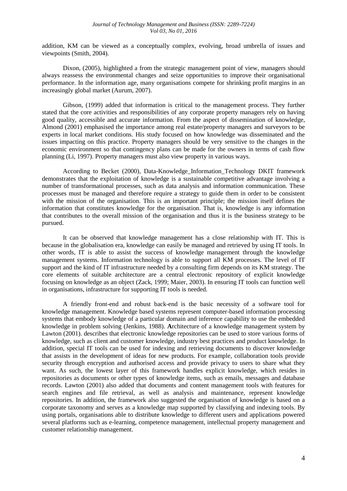addition, KM can be viewed as a conceptually complex, evolving, broad umbrella of issues and viewpoints (Smith, 2004).

Dixon, (2005), highlighted a from the strategic management point of view, managers should always reassess the environmental changes and seize opportunities to improve their organisational performance. In the information age, many organisations compete for shrinking profit margins in an increasingly global market (Aurum, 2007).

Gibson, (1999) added that information is critical to the management process. They further stated that the core activities and responsibilities of any corporate property managers rely on having good quality, accessible and accurate information. From the aspect of dissemination of knowledge, Almond (2001) emphasised the importance among real estate/property managers and surveyors to be experts in local market conditions. His study focused on how knowledge was disseminated and the issues impacting on this practice. Property managers should be very sensitive to the changes in the economic environment so that contingency plans can be made for the owners in terms of cash flow planning (Li, 1997). Property managers must also view property in various ways.

According to Becket (2000), Data-Knowledge\_Information\_Technology DKIT framework demonstrates that the exploitation of knowledge is a sustainable competitive advantage involving a number of transformational processes, such as data analysis and information communication. These processes must be managed and therefore require a strategy to guide them in order to be consistent with the mission of the organisation. This is an important principle; the mission itself defines the information that constitutes knowledge for the organisation. That is, knowledge is any information that contributes to the overall mission of the organisation and thus it is the business strategy to be pursued.

It can be observed that knowledge management has a close relationship with IT. This is because in the globalisation era, knowledge can easily be managed and retrieved by using IT tools. In other words, IT is able to assist the success of knowledge management through the knowledge management systems. Information technology is able to support all KM processes. The level of IT support and the kind of IT infrastructure needed by a consulting firm depends on its KM strategy. The core elements of suitable architecture are a central electronic repository of explicit knowledge focusing on knowledge as an object (Zack, 1999; Maier, 2003). In ensuring IT tools can function well in organisations, infrastructure for supporting IT tools is needed.

A friendly front-end and robust back-end is the basic necessity of a software tool for knowledge management. Knowledge based systems represent computer-based information processing systems that embody knowledge of a particular domain and inference capability to use the embedded knowledge in problem solving (Jenkins, 1988). **A**rchitecture of a knowledge management system by Lawton (2001). describes that electronic knowledge repositories can be used to store various forms of knowledge, such as client and customer knowledge, industry best practices and product knowledge. In addition, special IT tools can be used for indexing and retrieving documents to discover knowledge that assists in the development of ideas for new products. For example, collaboration tools provide security through encryption and authorised access and provide privacy to users to share what they want. As such, the lowest layer of this framework handles explicit knowledge, which resides in repositories as documents or other types of knowledge items, such as emails, messages and database records. Lawton (2001) also added that documents and content management tools with features for search engines and file retrieval, as well as analysis and maintenance, represent knowledge repositories. In addition, the framework also suggested the organisation of knowledge is based on a corporate taxonomy and serves as a knowledge map supported by classifying and indexing tools. By using portals, organisations able to distribute knowledge to different users and applications powered several platforms such as e-learning, competence management, intellectual property management and customer relationship management.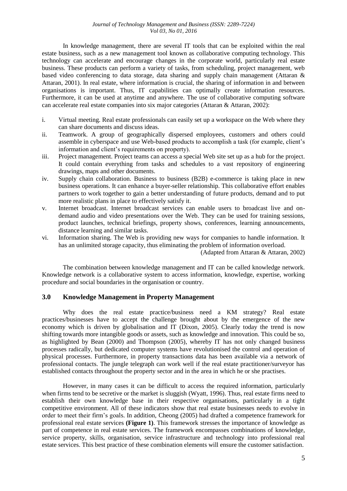In knowledge management, there are several IT tools that can be exploited within the real estate business, such as a new management tool known as collaborative computing technology. This technology can accelerate and encourage changes in the corporate world, particularly real estate business. These products can perform a variety of tasks, from scheduling, project management, web based video conferencing to data storage, data sharing and supply chain management (Attaran & Attaran, 2001). In real estate, where information is crucial, the sharing of information in and between organisations is important. Thus, IT capabilities can optimally create information resources. Furthermore, it can be used at anytime and anywhere. The use of collaborative computing software can accelerate real estate companies into six major categories (Attaran & Attaran, 2002):

- i. Virtual meeting. Real estate professionals can easily set up a workspace on the Web where they can share documents and discuss ideas.
- ii. Teamwork. A group of geographically dispersed employees, customers and others could assemble in cyberspace and use Web-based products to accomplish a task (for example, client's information and client's requirements on property).
- iii. Project management. Project teams can access a special Web site set up as a hub for the project. It could contain everything from tasks and schedules to a vast repository of engineering drawings, maps and other documents.
- iv. Supply chain collaboration. Business to business (B2B) e-commerce is taking place in new business operations. It can enhance a buyer-seller relationship. This collaborative effort enables partners to work together to gain a better understanding of future products, demand and to put more realistic plans in place to effectively satisfy it.
- v. Internet broadcast. Internet broadcast services can enable users to broadcast live and ondemand audio and video presentations over the Web. They can be used for training sessions, product launches, technical briefings, property shows, conferences, learning announcements, distance learning and similar tasks.
- vi. Information sharing. The Web is providing new ways for companies to handle information. It has an unlimited storage capacity, thus eliminating the problem of information overload.

(Adapted from Attaran & Attaran, 2002)

The combination between knowledge management and IT can be called knowledge network. Knowledge network is a collaborative system to access information, knowledge, expertise, working procedure and social boundaries in the organisation or country.

### **3.0 Knowledge Management in Property Management**

Why does the real estate practice/business need a KM strategy? Real estate practices/businesses have to accept the challenge brought about by the emergence of the new economy which is driven by globalisation and IT (Dixon, 2005). Clearly today the trend is now shifting towards more intangible goods or assets, such as knowledge and innovation. This could be so, as highlighted by Bean (2000) and Thompson (2005), whereby IT has not only changed business processes radically, but dedicated computer systems have revolutionised the control and operation of physical processes. Furthermore, in property transactions data has been available via a network of professional contacts. The jungle telegraph can work well if the real estate practitioner/surveyor has established contacts throughout the property sector and in the area in which he or she practises.

However, in many cases it can be difficult to access the required information, particularly when firms tend to be secretive or the market is sluggish (Wyatt, 1996). Thus, real estate firms need to establish their own knowledge base in their respective organisations, particularly in a tight competitive environment. All of these indicators show that real estate businesses needs to evolve in order to meet their firm's goals. In addition, Cheong (2005) had drafted a competence framework for professional real estate services **(Figure 1)**. This framework stresses the importance of knowledge as part of competence in real estate services. The framework encompasses combinations of knowledge, service property, skills, organisation, service infrastructure and technology into professional real estate services. This best practice of these combination elements will ensure the customer satisfaction.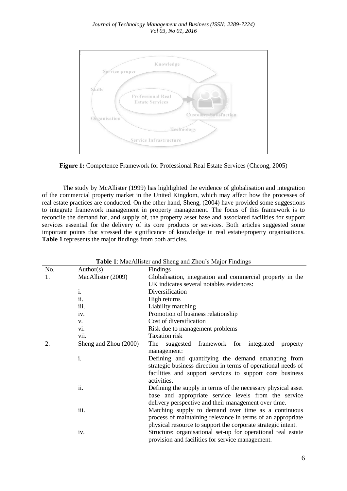

**Figure 1:** Competence Framework for Professional Real Estate Services (Cheong, 2005)

The study by McAllister (1999) has highlighted the evidence of globalisation and integration of the commercial property market in the United Kingdom, which may affect how the processes of real estate practices are conducted. On the other hand, Sheng, (2004) have provided some suggestions to integrate framework management in property management. The focus of this framework is to reconcile the demand for, and supply of, the property asset base and associated facilities for support services essential for the delivery of its core products or services. Both articles suggested some important points that stressed the significance of knowledge in real estate/property organisations. **Table 1** represents the major findings from both articles.

|                  |                       | <b>THERE</b> I. MUCH MISION WIN DINING WIN ENOU 5 MUJOI 1 MUMBS |
|------------------|-----------------------|-----------------------------------------------------------------|
| No.              | Author(s)             | Findings                                                        |
| 1.               | MacAllister (2009)    | Globalisation, integration and commercial property in the       |
|                  |                       | UK indicates several notables evidences:                        |
|                  | i.                    | Diversification                                                 |
|                  | ii.                   | High returns                                                    |
|                  | iii.                  | Liability matching                                              |
|                  | iv.                   | Promotion of business relationship                              |
|                  | V.                    | Cost of diversification                                         |
|                  | V1.                   | Risk due to management problems                                 |
|                  | vii.                  | Taxation risk                                                   |
| $\overline{2}$ . | Sheng and Zhou (2000) | framework<br>integrated<br>The<br>for<br>suggested<br>property  |
|                  |                       | management:                                                     |
|                  | i.                    | Defining and quantifying the demand emanating from              |
|                  |                       | strategic business direction in terms of operational needs of   |
|                  |                       | facilities and support services to support core business        |
|                  |                       | activities.                                                     |
|                  | ii.                   | Defining the supply in terms of the necessary physical asset    |
|                  |                       | base and appropriate service levels from the service            |
|                  |                       | delivery perspective and their management over time.            |
|                  | iii.                  | Matching supply to demand over time as a continuous             |
|                  |                       | process of maintaining relevance in terms of an appropriate     |
|                  |                       | physical resource to support the corporate strategic intent.    |
|                  | iv.                   | Structure: organisational set-up for operational real estate    |
|                  |                       | provision and facilities for service management.                |
|                  |                       |                                                                 |

**Table 1**: MacAllister and Sheng and Zhou's Major Findings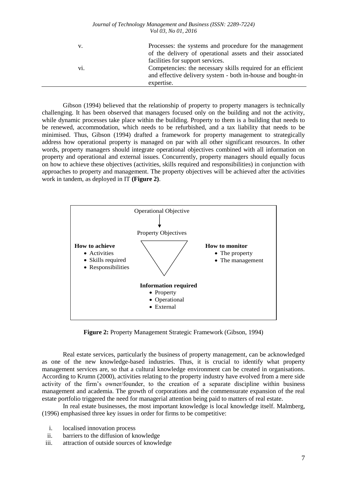| v.  | Processes: the systems and procedure for the management      |
|-----|--------------------------------------------------------------|
|     | of the delivery of operational assets and their associated   |
|     | facilities for support services.                             |
| V1. | Competencies: the necessary skills required for an efficient |
|     | and effective delivery system - both in-house and bought-in  |
|     | expertise.                                                   |

Gibson (1994) believed that the relationship of property to property managers is technically challenging. It has been observed that managers focused only on the building and not the activity, while dynamic processes take place within the building. Property to them is a building that needs to be renewed, accommodation, which needs to be refurbished, and a tax liability that needs to be minimised. Thus, Gibson (1994) drafted a framework for property management to strategically address how operational property is managed on par with all other significant resources. In other words, property managers should integrate operational objectives combined with all information on property and operational and external issues. Concurrently, property managers should equally focus on how to achieve these objectives (activities, skills required and responsibilities) in conjunction with approaches to property and management. The property objectives will be achieved after the activities work in tandem, as deployed in IT **(Figure 2)**.



**Figure 2:** Property Management Strategic Framework (Gibson, 1994)

Real estate services, particularly the business of property management, can be acknowledged as one of the new knowledge-based industries. Thus, it is crucial to identify what property management services are, so that a cultural knowledge environment can be created in organisations. According to Krumn (2000), activities relating to the property industry have evolved from a mere side activity of the firm's owner/founder, to the creation of a separate discipline within business management and academia. The growth of corporations and the commensurate expansion of the real estate portfolio triggered the need for managerial attention being paid to matters of real estate.

In real estate businesses, the most important knowledge is local knowledge itself. Malmberg, (1996) emphasised three key issues in order for firms to be competitive:

- i. localised innovation process
- ii. barriers to the diffusion of knowledge
- iii. attraction of outside sources of knowledge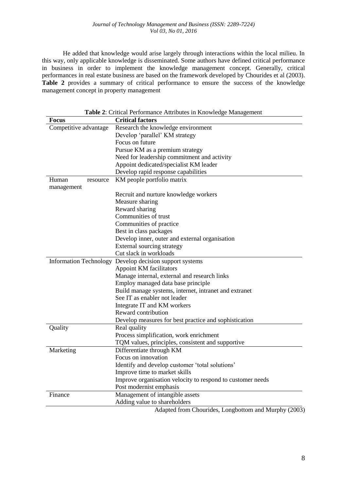He added that knowledge would arise largely through interactions within the local milieu. In this way, only applicable knowledge is disseminated. Some authors have defined critical performance in business in order to implement the knowledge management concept. Generally, critical performances in real estate business are based on the framework developed by Chourides et al (2003). **Table 2** provides a summary of critical performance to ensure the success of the knowledge management concept in property management

| <b>Focus</b>                  | Crucar I critinance ruthoutes in Knowledge Management<br><b>Critical factors</b> |
|-------------------------------|----------------------------------------------------------------------------------|
| Competitive advantage         | Research the knowledge environment                                               |
|                               | Develop 'parallel' KM strategy                                                   |
|                               | Focus on future                                                                  |
|                               | Pursue KM as a premium strategy                                                  |
|                               | Need for leadership commitment and activity                                      |
|                               | Appoint dedicated/specialist KM leader                                           |
|                               | Develop rapid response capabilities                                              |
| Human<br>resource             | KM people portfolio matrix                                                       |
| management                    |                                                                                  |
|                               | Recruit and nurture knowledge workers                                            |
|                               | Measure sharing                                                                  |
|                               | Reward sharing                                                                   |
|                               | Communities of trust                                                             |
|                               | Communities of practice                                                          |
|                               | Best in class packages                                                           |
|                               | Develop inner, outer and external organisation                                   |
|                               | External sourcing strategy                                                       |
|                               | Cut slack in workloads                                                           |
| <b>Information Technology</b> | Develop decision support systems                                                 |
|                               | Appoint KM facilitators                                                          |
|                               | Manage internal, external and research links                                     |
|                               | Employ managed data base principle                                               |
|                               | Build manage systems, internet, intranet and extranet                            |
|                               | See IT as enabler not leader                                                     |
|                               | Integrate IT and KM workers                                                      |
|                               | Reward contribution                                                              |
|                               | Develop measures for best practice and sophistication                            |
| Quality                       | Real quality                                                                     |
|                               | Process simplification, work enrichment                                          |
|                               | TQM values, principles, consistent and supportive                                |
| Marketing                     | Differentiate through KM                                                         |
|                               | Focus on innovation                                                              |
|                               | Identify and develop customer 'total solutions'                                  |
|                               | Improve time to market skills                                                    |
|                               | Improve organisation velocity to respond to customer needs                       |
|                               | Post modernist emphasis                                                          |
| Finance                       | Management of intangible assets                                                  |
|                               | Adding value to shareholders                                                     |
|                               | $\sim$<br>$\lambda$ 1                                                            |

**Table 2**: Critical Performance Attributes in Knowledge Management

Adapted from Chourides, Longbottom and Murphy (2003)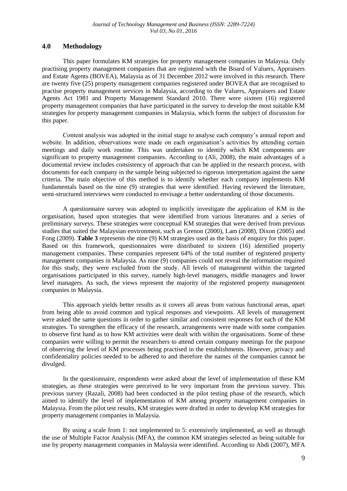# **4.0 Methodology**

This paper formulates KM strategies for property management companies in Malaysia. Only practising property management companies that are registered with the Board of Valuers, Appraisers and Estate Agents (BOVEA), Malaysia as of 31 December 2012 were involved in this research. There are twenty five (25) property management companies registered under BOVEA that are recognised to practise property management services in Malaysia, according to the Valuers, Appraisers and Estate Agents Act 1981 and Property Management Standard 2010. There were sixteen (16) registered property management companies that have participated in the survey to develop the most suitable KM strategies for property management companies in Malaysia, which forms the subject of discussion for this paper.

Content analysis was adopted in the initial stage to analyse each company's annual report and website. In addition, observations were made on each organisation's activities by attending certain meetings and daily work routine. This was undertaken to identify which KM components are significant to property management companies. According to (Ali, 2008), the main advantages of a documental review includes consistency of approach that can be applied in the research process, with documents for each company in the sample being subjected to rigorous interpretation against the same criteria. The main objective of this method is to identify whether each company implements KM fundamentals based on the nine (9) strategies that were identified. Having reviewed the literature, semi-structured interviews were conducted to envisage a better understanding of those documents.

A questionnaire survey was adopted to implicitly investigate the application of KM in the organisation, based upon strategies that were identified from various literatures and a series of preliminary surveys. These strategies were conceptual KM strategies that were derived from previous studies that suited the Malaysian environment, such as Grenon (2000), Lam (2008), Dixon (2005) and Fong (2009). **Table 3** represents the nine (9) KM strategies used as the basis of enquiry for this paper. Based on this framework, questionnaires were distributed to sixteen (16) identified property management companies. These companies represent 64% of the total number of registered property management companies in Malaysia. As nine (9) companies could not reveal the information required for this study, they were excluded from the study. All levels of management within the targeted organisations participated in this survey, namely high-level managers, middle managers and lower level managers. As such, the views represent the majority of the registered property management companies in Malaysia.

This approach yields better results as it covers all areas from various functional areas, apart from being able to avoid common and typical responses and viewpoints. All levels of management were asked the same questions in order to gather similar and consistent responses for each of the KM strategies. To strengthen the efficacy of the research, arrangements were made with some companies to observe first hand as to how KM activities were dealt with within the organisations. Some of these companies were willing to permit the researchers to attend certain company meetings for the purpose of observing the level of KM processes being practised in the establishments. However, privacy and confidentiality policies needed to be adhered to and therefore the names of the companies cannot be divulged.

In the questionnaire, respondents were asked about the level of implementation of these KM strategies, as these strategies were perceived to be very important from the previous survey. This previous survey (Razali, 2008) had been conducted in the pilot testing phase of the research, which aimed to identify the level of implementation of KM among property management companies in Malaysia. From the pilot test results, KM strategies were drafted in order to develop KM strategies for property management companies in Malaysia.

By using a scale from 1: not implemented to 5: extensively implemented, as well as through the use of Multiple Factor Analysis (MFA), the common KM strategies selected as being suitable for use by property management companies in Malaysia were identified. According to Abdi (2007), MFA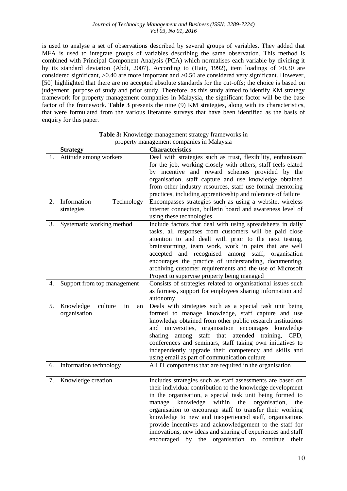is used to analyse a set of observations described by several groups of variables. They added that MFA is used to integrate groups of variables describing the same observation. This method is combined with Principal Component Analysis (PCA) which normalises each variable by dividing it by its standard deviation (Abdi, 2007). According to (Hair, 1992), item loadings of >0.30 are considered significant, >0.40 are more important and >0.50 are considered very significant. However, [50] highlighted that there are no accepted absolute standards for the cut-offs; the choice is based on judgement, purpose of study and prior study. Therefore, as this study aimed to identify KM strategy framework for property management companies in Malaysia, the significant factor will be the base factor of the framework. **Table 3** presents the nine (9) KM strategies, along with its characteristics, that were formulated from the various literature surveys that have been identified as the basis of enquiry for this paper.

|    | <b>Strategy</b>                                  | <b>Characteristics</b>                                                                                                                                                                                                                                                                                                                                                                                                                                                                                                                                  |
|----|--------------------------------------------------|---------------------------------------------------------------------------------------------------------------------------------------------------------------------------------------------------------------------------------------------------------------------------------------------------------------------------------------------------------------------------------------------------------------------------------------------------------------------------------------------------------------------------------------------------------|
| 1. | Attitude among workers                           | Deal with strategies such as trust, flexibility, enthusiasm<br>for the job, working closely with others, staff feels elated<br>by incentive and reward schemes provided by the<br>organisation, staff capture and use knowledge obtained<br>from other industry resources, staff use formal mentoring<br>practices, including apprenticeship and tolerance of failure                                                                                                                                                                                   |
| 2. | Information<br>Technology<br>strategies          | Encompasses strategies such as using a website, wireless<br>internet connection, bulletin board and awareness level of<br>using these technologies                                                                                                                                                                                                                                                                                                                                                                                                      |
| 3. | Systematic working method                        | Include factors that deal with using spreadsheets in daily<br>tasks, all responses from customers will be paid close<br>attention to and dealt with prior to the next testing,<br>brainstorming, team work, work in pairs that are well<br>accepted and recognised among staff, organisation<br>encourages the practice of understanding, documenting,<br>archiving customer requirements and the use of Microsoft<br>Project to supervise property being managed                                                                                       |
| 4. | Support from top management                      | Consists of strategies related to organisational issues such<br>as fairness, support for employees sharing information and<br>autonomy                                                                                                                                                                                                                                                                                                                                                                                                                  |
| 5. | Knowledge<br>culture<br>in<br>an<br>organisation | Deals with strategies such as a special task unit being<br>formed to manage knowledge, staff capture and use<br>knowledge obtained from other public research institutions<br>and universities, organisation encourages knowledge<br>sharing among<br>staff that attended training,<br>CPD.<br>conferences and seminars, staff taking own initiatives to<br>independently upgrade their competency and skills and<br>using email as part of communication culture                                                                                       |
| 6. | Information technology                           | All IT components that are required in the organisation                                                                                                                                                                                                                                                                                                                                                                                                                                                                                                 |
| 7. | Knowledge creation                               | Includes strategies such as staff assessments are based on<br>their individual contribution to the knowledge development<br>in the organisation, a special task unit being formed to<br>knowledge within the<br>manage<br>organisation,<br>the<br>organisation to encourage staff to transfer their working<br>knowledge to new and inexperienced staff, organisations<br>provide incentives and acknowledgement to the staff for<br>innovations, new ideas and sharing of experiences and staff<br>encouraged by the organisation to continue<br>their |

**Table 3:** Knowledge management strategy frameworks in property management companies in Malaysia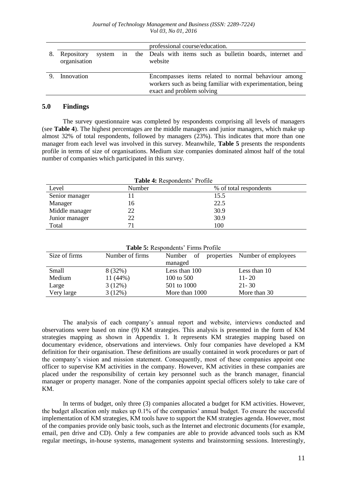|    |                            |  | professional course/education.                                                                                                                 |
|----|----------------------------|--|------------------------------------------------------------------------------------------------------------------------------------------------|
| 8. | Repository<br>organisation |  | system in the Deals with items such as bulletin boards, internet and<br>website                                                                |
| 9. | Innovation                 |  | Encompasses items related to normal behaviour among<br>workers such as being familiar with experimentation, being<br>exact and problem solving |

### **5.0 Findings**

The survey questionnaire was completed by respondents comprising all levels of managers (see **Table 4**). The highest percentages are the middle managers and junior managers, which make up almost 32% of total respondents, followed by managers (23%). This indicates that more than one manager from each level was involved in this survey. Meanwhile, **Table 5** presents the respondents profile in terms of size of organisations. Medium size companies dominated almost half of the total number of companies which participated in this survey.

**Table 4:** Respondents' Profile Level Number % of total respondents Senior manager 11 15.5 Manager 16 22.5 Middle manager 22 30.9 Junior manager 22 30.9 Total 100

**Table 5:** Respondents' Firms Profile

| Size of firms | Number of firms | Number         | of properties Number of employees |
|---------------|-----------------|----------------|-----------------------------------|
|               |                 | managed        |                                   |
| Small         | 8 (32%)         | Less than 100  | Less than 10                      |
| Medium        | $11(44\%)$      | 100 to 500     | $11 - 20$                         |
| Large         | 3(12%)          | 501 to 1000    | $21 - 30$                         |
| Very large    | 3(12%)          | More than 1000 | More than 30                      |

The analysis of each company's annual report and website, interviews conducted and observations were based on nine (9) KM strategies. This analysis is presented in the form of KM strategies mapping as shown in Appendix 1. It represents KM strategies mapping based on documentary evidence, observations and interviews. Only four companies have developed a KM definition for their organisation. These definitions are usually contained in work procedures or part of the company's vision and mission statement. Consequently, most of these companies appoint one officer to supervise KM activities in the company. However, KM activities in these companies are placed under the responsibility of certain key personnel such as the branch manager, financial manager or property manager. None of the companies appoint special officers solely to take care of KM.

In terms of budget, only three (3) companies allocated a budget for KM activities. However, the budget allocation only makes up 0.1% of the companies' annual budget. To ensure the successful implementation of KM strategies, KM tools have to support the KM strategies agenda. However, most of the companies provide only basic tools, such as the Internet and electronic documents (for example, email, pen drive and CD). Only a few companies are able to provide advanced tools such as KM regular meetings, in-house systems, management systems and brainstorming sessions. Interestingly,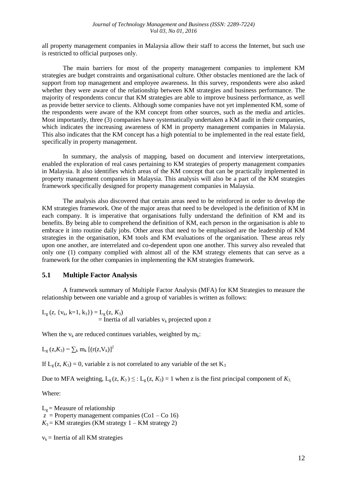all property management companies in Malaysia allow their staff to access the Internet, but such use is restricted to official purposes only.

The main barriers for most of the property management companies to implement KM strategies are budget constraints and organisational culture. Other obstacles mentioned are the lack of support from top management and employee awareness. In this survey, respondents were also asked whether they were aware of the relationship between KM strategies and business performance. The majority of respondents concur that KM strategies are able to improve business performance, as well as provide better service to clients. Although some companies have not yet implemented KM, some of the respondents were aware of the KM concept from other sources, such as the media and articles. Most importantly, three (3) companies have systematically undertaken a KM audit in their companies, which indicates the increasing awareness of KM in property management companies in Malaysia. This also indicates that the KM concept has a high potential to be implemented in the real estate field, specifically in property management.

In summary, the analysis of mapping, based on document and interview interpretations, enabled the exploration of real cases pertaining to KM strategies of property management companies in Malaysia. It also identifies which areas of the KM concept that can be practically implemented in property management companies in Malaysia. This analysis will also be a part of the KM strategies framework specifically designed for property management companies in Malaysia.

The analysis also discovered that certain areas need to be reinforced in order to develop the KM strategies framework. One of the major areas that need to be developed is the definition of KM in each company. It is imperative that organisations fully understand the definition of KM and its benefits. By being able to comprehend the definition of KM, each person in the organisation is able to embrace it into routine daily jobs. Other areas that need to be emphasised are the leadership of KM strategies in the organisation, KM tools and KM evaluations of the organisation. These areas rely upon one another, are interrelated and co-dependent upon one another. This survey also revealed that only one (1) company complied with almost all of the KM strategy elements that can serve as a framework for the other companies in implementing the KM strategies framework.

# **5.1 Multiple Factor Analysis**

A framework summary of Multiple Factor Analysis (MFA) for KM Strategies to measure the relationship between one variable and a group of variables is written as follows:

 $L_g$  (*z*, { $v_k$ , k=1, k<sub>3</sub>}) =  $L_g$  (*z*, *K*<sub>3</sub>)  $=$  Inertia of all variables  $v_k$  projected upon z

When the  $v_k$  are reduced continues variables, weighted by  $m_k$ :

 $L_g$  (z, $K_3$ ) =  $\sum_k m_k$  [(r(z, $V_k$ )]<sup>2</sup>

If  $L_{\varphi}(z, K_3) = 0$ , variable z is not correlated to any variable of the set  $K_3$ 

Due to MFA weighting,  $L_g(z, K_3) \leq L_g(z, K_3) = 1$  when z is the first principal component of  $K_3$ .

Where:

 $L<sub>g</sub>$  = Measure of relationship  $z =$  Property management companies (Co1 – Co 16)  $K_3$  = KM strategies (KM strategy  $1 - KM$  strategy 2)

 $v_k$  = Inertia of all KM strategies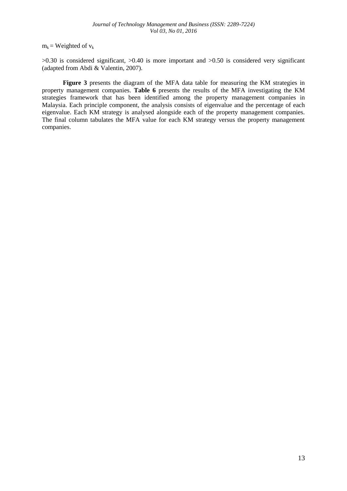$m_k$  = Weighted of  $v_k$ 

 $>0.30$  is considered significant,  $>0.40$  is more important and  $>0.50$  is considered very significant (adapted from Abdi & Valentin, 2007).

**Figure 3** presents the diagram of the MFA data table for measuring the KM strategies in property management companies. **Table 6** presents the results of the MFA investigating the KM strategies framework that has been identified among the property management companies in Malaysia. Each principle component, the analysis consists of eigenvalue and the percentage of each eigenvalue. Each KM strategy is analysed alongside each of the property management companies. The final column tabulates the MFA value for each KM strategy versus the property management companies.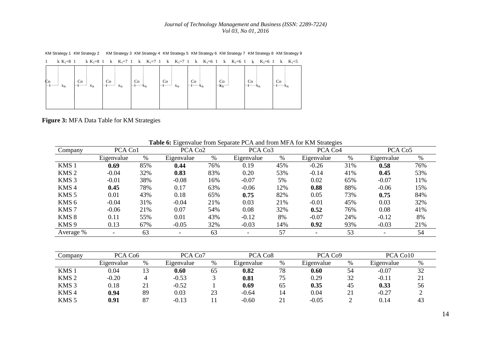KM Strategy 1 KM Strategy 2 KM Strategy 3 KM Strategy 4 KM Strategy 5 KM Strategy 6 KM Strategy 7 KM Strategy 8 KM Strategy 9

| k $K_1 = 8$ 1                                          |                                            | k K <sub>1</sub> =8 1 k K <sub>1</sub> =7 1 k K <sub>1</sub> =7 1 k K <sub>1</sub> =7 1 k K <sub>1</sub> =6 1 k K <sub>1</sub> =6 1 k K <sub>1</sub> =6 1 k K <sub>1</sub> =5 |                                         |                                                          |                                                                  |                         |                                                 |               |
|--------------------------------------------------------|--------------------------------------------|-------------------------------------------------------------------------------------------------------------------------------------------------------------------------------|-----------------------------------------|----------------------------------------------------------|------------------------------------------------------------------|-------------------------|-------------------------------------------------|---------------|
| $\begin{bmatrix} c_0 \\ \vdots \end{bmatrix}$ $x_{ik}$ | Co<br>$1 - 1 - 1 - 1$<br>$\mathbf{x}_{ik}$ | Co<br>$ $ $ $ $ $<br>$\mathbf{x}_{ik}$                                                                                                                                        | Co<br>$ \cdots i \cdots \cdots x_{ik} $ | $\begin{array}{ c c }\nCo \\ i\n\end{array}$<br>$X_{ik}$ | Co<br>$\cdots$ i $\cdots \cdots \cdots \cdots$ $\mathbf{x}_{ik}$ | Co<br>$\mathbf{x}_{ik}$ | Co<br>$\left  \cdots \right $ $\mathbf{x}_{ik}$ | Co<br>$\ T\ $ |
|                                                        |                                            |                                                                                                                                                                               |                                         |                                                          |                                                                  |                         |                                                 |               |

**Figure 3:** MFA Data Table for KM Strategies

| Company          | PCA Co1    |     | PCA Co <sub>2</sub>      |     | PCA Co <sub>3</sub> | °07<br>PCA Co <sub>4</sub> |                          | PCA Co <sub>5</sub> |            |      |
|------------------|------------|-----|--------------------------|-----|---------------------|----------------------------|--------------------------|---------------------|------------|------|
|                  | Eigenvalue | %   | Eigenvalue               | %   | Eigenvalue          | $\%$                       | Eigenvalue               | %                   | Eigenvalue | $\%$ |
| KMS <sub>1</sub> | 0.69       | 85% | 0.44                     | 76% | 0.19                | 45%                        | $-0.26$                  | 31%                 | 0.58       | 76%  |
| KMS <sub>2</sub> | $-0.04$    | 32% | 0.83                     | 83% | 0.20                | 53%                        | $-0.14$                  | 41%                 | 0.45       | 53%  |
| KMS <sub>3</sub> | $-0.01$    | 38% | $-0.08$                  | 16% | $-0.07$             | 5%                         | 0.02                     | 65%                 | $-0.07$    | 11%  |
| KMS4             | 0.45       | 78% | 0.17                     | 63% | $-0.06$             | 12%                        | 0.88                     | 88%                 | $-0.06$    | 15%  |
| KMS <sub>5</sub> | 0.01       | 43% | 0.18                     | 65% | 0.75                | 82%                        | 0.05                     | 73%                 | 0.75       | 84%  |
| KMS <sub>6</sub> | $-0.04$    | 31% | $-0.04$                  | 21% | 0.03                | 21%                        | $-0.01$                  | 45%                 | 0.03       | 32%  |
| KMS <sub>7</sub> | $-0.06$    | 21% | 0.07                     | 54% | 0.08                | 32%                        | 0.52                     | 76%                 | 0.08       | 41%  |
| KMS 8            | 0.11       | 55% | 0.01                     | 43% | $-0.12$             | 8%                         | $-0.07$                  | 24%                 | $-0.12$    | 8%   |
| KMS <sub>9</sub> | 0.13       | 67% | $-0.05$                  | 32% | $-0.03$             | 14%                        | 0.92                     | 93%                 | $-0.03$    | 21%  |
| Average %        |            | 63  | $\overline{\phantom{0}}$ | 63  |                     | 57                         | $\overline{\phantom{0}}$ | 53                  |            | 54   |

**Table 6:** Eigenvalue from Separate PCA and from MFA for KM Strategies

| Company          | PCA Co6    |    | PCA Co7    |    | PCA Co <sub>8</sub> |      | PCA Co9    |    | PCA Co10   |      |
|------------------|------------|----|------------|----|---------------------|------|------------|----|------------|------|
|                  | Eigenvalue | %  | Eigenvalue | %  | Eigenvalue          | $\%$ | Eigenvalue | %  | Eigenvalue | $\%$ |
| KMS <sub>1</sub> | 0.04       |    | 0.60       | 65 | 0.82                | 78   | 0.60       | 54 | $-0.07$    | 32   |
| KMS <sub>2</sub> | $-0.20$    |    | $-0.53$    |    | 0.81                | 75   | 0.29       | 32 | $-0.11$    | 21   |
| KMS <sub>3</sub> | 0.18       | ◢  | $-0.52$    |    | 0.69                | 65   | 0.35       | 45 | 0.33       | 56   |
| KMS <sub>4</sub> | 0.94       | 89 | 0.03       | 23 | $-0.64$             | 14   | 0.04       | 21 | $-0.27$    |      |
| KMS <sub>5</sub> | 0.91       |    | $-0.13$    |    | $-0.60$             | 21   | $-0.05$    |    | 0.14       |      |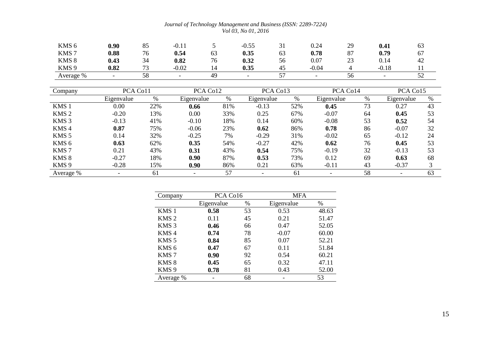| KMS <sub>6</sub> | 0.90 | 85           | ሰ 1<br>$-U.1.1$          |                                | $-0.55$ | ◡▴      | 0.24    | 29                    | 0.41    | 03  |
|------------------|------|--------------|--------------------------|--------------------------------|---------|---------|---------|-----------------------|---------|-----|
| KMS <sub>7</sub> | 0.88 | 76           | 0.54                     | 63                             | 0.35    | 63      | 0.78    | O <sub>7</sub><br>o / | 0.79    | 67  |
| KMS <sub>8</sub> | 0.43 | 34           | 0.82                     | $\overline{\phantom{a}}$<br>76 | 0.32    | 56      | 0.07    | $\sim$<br>$\angle 3$  | 0.14    | 42  |
| KMS <sub>9</sub> | 0.82 | $\mathbf{a}$ | $-0.02$                  |                                | 0.35    | 45      | $-0.04$ |                       | $-0.18$ |     |
| Average %        |      | 58           | $\overline{\phantom{0}}$ | 49                             |         | --<br>◡ |         | Эb                    |         | ے ب |

| Company          | PCA Co11   |     | PCA Co12   |      | PCA Co13   |     | PCA Co14   |      | PCA Co15   |      |
|------------------|------------|-----|------------|------|------------|-----|------------|------|------------|------|
|                  | Eigenvalue | %   | Eigenvalue | $\%$ | Eigenvalue | %   | Eigenvalue | $\%$ | Eigenvalue | $\%$ |
| KMS <sub>1</sub> | 0.00       | 22% | 0.66       | 81%  | $-0.13$    | 52% | 0.45       | 73   | 0.27       | 43   |
| KMS <sub>2</sub> | $-0.20$    | 13% | 0.00       | 33%  | 0.25       | 67% | $-0.07$    | 64   | 0.45       | 53   |
| KMS <sub>3</sub> | $-0.13$    | 41% | $-0.10$    | 18%  | 0.14       | 60% | $-0.08$    | 53   | 0.52       | 54   |
| KMS <sub>4</sub> | 0.87       | 75% | $-0.06$    | 23%  | 0.62       | 86% | 0.78       | 86   | $-0.07$    | 32   |
| KMS <sub>5</sub> | 0.14       | 32% | $-0.25$    | 7%   | $-0.29$    | 31% | $-0.02$    | 65   | $-0.12$    | 24   |
| KMS <sub>6</sub> | 0.63       | 62% | 0.35       | 54%  | $-0.27$    | 42% | 0.62       | 76   | 0.45       | 53   |
| KMS <sub>7</sub> | 0.21       | 43% | 0.31       | 43%  | 0.54       | 75% | $-0.19$    | 32   | $-0.13$    | 53   |
| KMS <sub>8</sub> | $-0.27$    | 18% | 0.90       | 87%  | 0.53       | 73% | 0.12       | 69   | 0.63       | 68   |
| KMS <sub>9</sub> | $-0.28$    | 15% | 0.90       | 86%  | 0.21       | 63% | $-0.11$    | 43   | $-0.37$    | 3    |
| Average %        |            | 61  |            | 57   |            | 61  |            | 58   |            | 63   |

| Company          | PCA Co16   |    | <b>MFA</b> |       |
|------------------|------------|----|------------|-------|
|                  | Eigenvalue | %  | Eigenvalue | %     |
| KMS <sub>1</sub> | 0.58       | 53 | 0.53       | 48.63 |
| KMS <sub>2</sub> | 0.11       | 45 | 0.21       | 51.47 |
| KMS <sub>3</sub> | 0.46       | 66 | 0.47       | 52.05 |
| KMS <sub>4</sub> | 0.74       | 78 | $-0.07$    | 60.00 |
| KMS <sub>5</sub> | 0.84       | 85 | 0.07       | 52.21 |
| KMS <sub>6</sub> | 0.47       | 67 | 0.11       | 51.84 |
| KMS <sub>7</sub> | 0.90       | 92 | 0.54       | 60.21 |
| KMS <sub>8</sub> | 0.45       | 65 | 0.32       | 47.11 |
| KMS <sub>9</sub> | 0.78       | 81 | 0.43       | 52.00 |
| Average %        |            | 68 |            | 53    |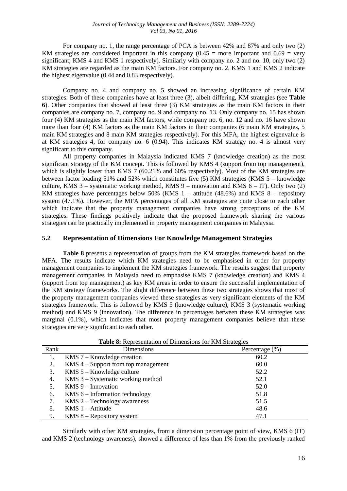For company no. 1, the range percentage of PCA is between 42% and 87% and only two (2) KM strategies are considered important in this company  $(0.45 =$  more important and  $0.69 =$  very significant; KMS 4 and KMS 1 respectively). Similarly with company no. 2 and no. 10, only two (2) KM strategies are regarded as the main KM factors. For company no. 2, KMS 1 and KMS 2 indicate the highest eigenvalue (0.44 and 0.83 respectively).

Company no. 4 and company no. 5 showed an increasing significance of certain KM strategies. Both of these companies have at least three (3), albeit differing, KM strategies (see **Table 6**). Other companies that showed at least three (3) KM strategies as the main KM factors in their companies are company no. 7, company no. 9 and company no. 13. Only company no. 15 has shown four (4) KM strategies as the main KM factors, while company no. 6, no. 12 and no. 16 have shown more than four (4) KM factors as the main KM factors in their companies (6 main KM strategies, 5 main KM strategies and 8 main KM strategies respectively). For this MFA, the highest eigenvalue is at KM strategies 4, for company no. 6 (0.94). This indicates KM strategy no. 4 is almost very significant to this company.

All property companies in Malaysia indicated KMS 7 (knowledge creation) as the most significant strategy of the KM concept. This is followed by KMS 4 (support from top management), which is slightly lower than KMS 7 (60.21% and 60% respectively). Most of the KM strategies are between factor loading 51% and 52% which constitutes five (5) KM strategies (KMS 5 – knowledge culture, KMS 3 – systematic working method, KMS 9 – innovation and KMS  $6 - IT$ ). Only two (2) KM strategies have percentages below 50% (KMS  $1 -$  attitude (48.6%) and KMS  $8 -$  repository system (47.1%). However, the MFA percentages of all KM strategies are quite close to each other which indicate that the property management companies have strong perceptions of the KM strategies. These findings positively indicate that the proposed framework sharing the various strategies can be practically implemented in property management companies in Malaysia.

### **5.2 Representation of Dimensions For Knowledge Management Strategies**

**Table 8** presents a representation of groups from the KM strategies framework based on the MFA. The results indicate which KM strategies need to be emphasised in order for property management companies to implement the KM strategies framework. The results suggest that property management companies in Malaysia need to emphasise KMS 7 (knowledge creation) and KMS 4 (support from top management) as key KM areas in order to ensure the successful implementation of the KM strategy frameworks. The slight difference between these two strategies shows that most of the property management companies viewed these strategies as very significant elements of the KM strategies framework. This is followed by KMS 5 (knowledge culture), KMS 3 (systematic working method) and KMS 9 (innovation). The difference in percentages between these KM strategies was marginal (0.1%), which indicates that most property management companies believe that these strategies are very significant to each other.

| Rank | Dimensions                            | Percentage (%) |
|------|---------------------------------------|----------------|
| 1.   | $KMS$ 7 – Knowledge creation          | 60.2           |
| 2.   | $KMS$ 4 – Support from top management | 60.0           |
| 3.   | KMS 5 – Knowledge culture             | 52.2           |
| 4.   | KMS 3 – Systematic working method     | 52.1           |
| 5.   | $KMS 9$ – Innovation                  | 52.0           |
| 6.   | KMS $6$ – Information technology      | 51.8           |
| 7.   | $KMS$ 2 – Technology awareness        | 51.5           |
| 8.   | KMS $1 -$ Attitude                    | 48.6           |
| 9.   | KMS $8$ – Repository system           | 47.1           |

**Table 8:** Representation of Dimensions for KM Strategies

Similarly with other KM strategies, from a dimension percentage point of view, KMS 6 (IT) and KMS 2 (technology awareness), showed a difference of less than 1% from the previously ranked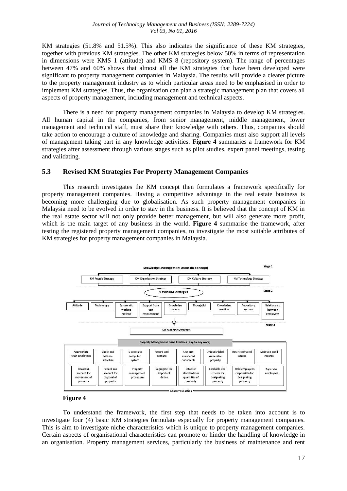KM strategies (51.8% and 51.5%). This also indicates the significance of these KM strategies, together with previous KM strategies. The other KM strategies below 50% in terms of representation in dimensions were KMS 1 (attitude) and KMS 8 (repository system). The range of percentages between 47% and 60% shows that almost all the KM strategies that have been developed were significant to property management companies in Malaysia. The results will provide a clearer picture to the property management industry as to which particular areas need to be emphasised in order to implement KM strategies. Thus, the organisation can plan a strategic management plan that covers all aspects of property management, including management and technical aspects.

There is a need for property management companies in Malaysia to develop KM strategies. All human capital in the companies, from senior management, middle management, lower management and technical staff, must share their knowledge with others. Thus, companies should take action to encourage a culture of knowledge and sharing. Companies must also support all levels of management taking part in any knowledge activities. **Figure 4** summaries a framework for KM strategies after assessment through various stages such as pilot studies, expert panel meetings, testing and validating.

### **5.3 Revised KM Strategies For Property Management Companies**

This research investigates the KM concept then formulates a framework specifically for property management companies. Having a competitive advantage in the real estate business is becoming more challenging due to globalisation. As such property management companies in Malaysia need to be evolved in order to stay in the business. It is believed that the concept of KM in the real estate sector will not only provide better management, but will also generate more profit, which is the main target of any business in the world. **Figure 4** summarise the framework, after testing the registered property management companies, to investigate the most suitable attributes of KM strategies for property management companies in Malaysia.



#### **Figure 4**

To understand the framework, the first step that needs to be taken into account is to investigate four (4) basic KM strategies formulate especially for property management companies. This is aim to investigate niche characteristics which is unique to property management companies. Certain aspects of organisational characteristics can promote or hinder the handling of knowledge in an organisation. Property management services, particularly the business of maintenance and rent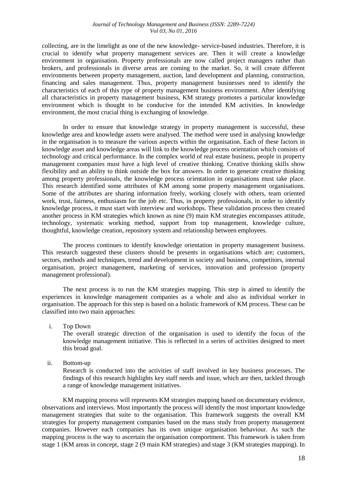collecting, are in the limelight as one of the new knowledge- service-based industries. Therefore, it is crucial to identify what property management services are. Then it will create a knowledge environment in organisation. Property professionals are now called project managers rather than brokers, and professionals in diverse areas are coming to the market. So, it will create different environments between property management, auction, land development and planning, construction, financing and sales management. Thus, property management businesses need to identify the characteristics of each of this type of property management business environment. After identifying all characteristics in property management business, KM strategy promotes a particular knowledge environment which is thought to be conducive for the intended KM activities. In knowledge environment, the most crucial thing is exchanging of knowledge.

In order to ensure that knowledge strategy in property management is successful, these knowledge area and knowledge assets were analysed. The method were used in analysing knowledge in the organisation is to measure the various aspects within the organisation. Each of these factors in knowledge asset and knowledge areas will link to the knowledge process orientation which consists of technology and critical performance. In the complex world of real estate business, people in property management companies must have a high level of creative thinking. Creative thinking skills show flexibility and an ability to think outside the box for answers. In order to generate creative thinking among property professionals, the knowledge process orientation in organisations must take place. This research identified some attributes of KM among some property management organisations. Some of the attributes are sharing information freely, working closely with others, team oriented work, trust, fairness, enthusiasm for the job etc. Thus, in property professionals, in order to identify knowledge process, it must start with interview and workshops. These validation process then created another process in KM strategies which known as nine (9) main KM strategies encompasses attitude, technology, systematic working method, support from top management, knowledge culture, thoughtful, knowledge creation, repository system and relationship between employees.

The process continues to identify knowledge orientation in property management business. This research suggested these clusters should be presents in organisations which are; customers, sectors, methods and techniques, trend and development in society and business, competitors, internal organisation, project management, marketing of services, innovation and profession (property management professional).

The next process is to run the KM strategies mapping. This step is aimed to identify the experiences in knowledge management companies as a whole and also as individual worker in organisation. The approach for this step is based on a holistic framework of KM process. These can be classified into two main approaches:

i. Top Down

The overall strategic direction of the organisation is used to identify the focus of the knowledge management initiative. This is reflected in a series of activities designed to meet this broad goal.

ii. Bottom-up

Research is conducted into the activities of staff involved in key business processes. The findings of this research highlights key staff needs and issue, which are then, tackled through a range of knowledge management initiatives.

KM mapping process will represents KM strategies mapping based on documentary evidence, observations and interviews. Most importantly the process will identify the most important knowledge management strategies that suite to the organisation. This framework suggests the overall KM strategies for property management companies based on the mass study from property management companies. However each companies has its own unique organisation behaviour. As such the mapping process is the way to ascertain the organisation comportment. This framework is taken from stage 1 (KM areas in concept, stage 2 (9 main KM strategies) and stage 3 (KM strategies mapping). In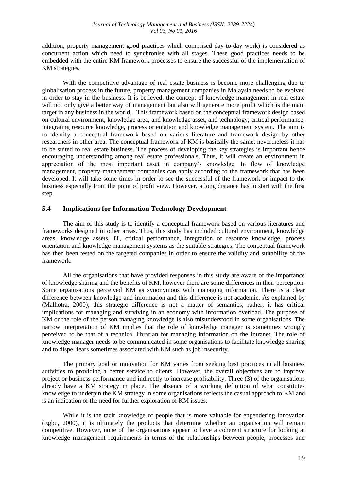addition, property management good practices which comprised day-to-day work) is considered as concurrent action which need to synchronise with all stages. These good practices needs to be embedded with the entire KM framework processes to ensure the successful of the implementation of KM strategies.

With the competitive advantage of real estate business is become more challenging due to globalisation process in the future, property management companies in Malaysia needs to be evolved in order to stay in the business. It is believed; the concept of knowledge management in real estate will not only give a better way of management but also will generate more profit which is the main target in any business in the world. This framework based on the conceptual framework design based on cultural environment, knowledge area, and knowledge asset, and technology, critical performance, integrating resource knowledge, process orientation and knowledge management system. The aim is to identify a conceptual framework based on various literature and framework design by other researchers in other area. The conceptual framework of KM is basically the same; nevertheless it has to be suited to real estate business. The process of developing the key strategies is important hence encouraging understanding among real estate professionals. Thus, it will create an environment in appreciation of the most important asset in company's knowledge. In flow of knowledge management, property management companies can apply according to the framework that has been developed. It will take some times in order to see the successful of the framework or impact to the business especially from the point of profit view. However, a long distance has to start with the first step.

# **5.4 Implications for Information Technology Development**

The aim of this study is to identify a conceptual framework based on various literatures and frameworks designed in other areas. Thus, this study has included cultural environment, knowledge areas, knowledge assets, IT, critical performance, integration of resource knowledge, process orientation and knowledge management systems as the suitable strategies. The conceptual framework has then been tested on the targeted companies in order to ensure the validity and suitability of the framework.

All the organisations that have provided responses in this study are aware of the importance of knowledge sharing and the benefits of KM, however there are some differences in their perception. Some organisations perceived KM as synonymous with managing information. There is a clear difference between knowledge and information and this difference is not academic. As explained by (Malhotra, 2000), this strategic difference is not a matter of semantics; rather, it has critical implications for managing and surviving in an economy with information overload. The purpose of KM or the role of the person managing knowledge is also misunderstood in some organisations. The narrow interpretation of KM implies that the role of knowledge manager is sometimes wrongly perceived to be that of a technical librarian for managing information on the Intranet. The role of knowledge manager needs to be communicated in some organisations to facilitate knowledge sharing and to dispel fears sometimes associated with KM such as job insecurity.

The primary goal or motivation for KM varies from seeking best practices in all business activities to providing a better service to clients. However, the overall objectives are to improve project or business performance and indirectly to increase profitability. Three (3) of the organisations already have a KM strategy in place. The absence of a working definition of what constitutes knowledge to underpin the KM strategy in some organisations reflects the casual approach to KM and is an indication of the need for further exploration of KM issues.

While it is the tacit knowledge of people that is more valuable for engendering innovation (Egbu, 2000), it is ultimately the products that determine whether an organisation will remain competitive. However, none of the organisations appear to have a coherent structure for looking at knowledge management requirements in terms of the relationships between people, processes and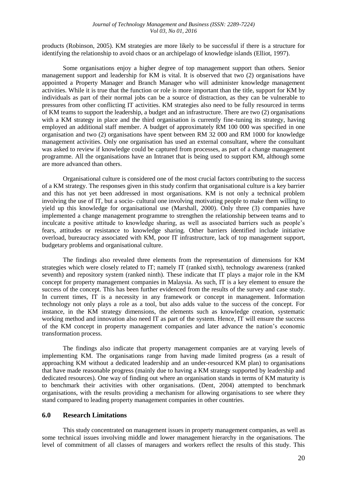products (Robinson, 2005). KM strategies are more likely to be successful if there is a structure for identifying the relationship to avoid chaos or an archipelago of knowledge islands (Elliot, 1997).

Some organisations enjoy a higher degree of top management support than others. Senior management support and leadership for KM is vital. It is observed that two (2) organisations have appointed a Property Manager and Branch Manager who will administer knowledge management activities. While it is true that the function or role is more important than the title, support for KM by individuals as part of their normal jobs can be a source of distraction, as they can be vulnerable to pressures from other conflicting IT activities. KM strategies also need to be fully resourced in terms of KM teams to support the leadership, a budget and an infrastructure. There are two (2) organisations with a KM strategy in place and the third organisation is currently fine-tuning its strategy, having employed an additional staff member. A budget of approximately RM 100 000 was specified in one organisation and two (2) organisations have spent between RM 32 000 and RM 1000 for knowledge management activities. Only one organisation has used an external consultant, where the consultant was asked to review if knowledge could be captured from processes, as part of a change management programme. All the organisations have an Intranet that is being used to support KM, although some are more advanced than others.

Organisational culture is considered one of the most crucial factors contributing to the success of a KM strategy. The responses given in this study confirm that organisational culture is a key barrier and this has not yet been addressed in most organisations. KM is not only a technical problem involving the use of IT, but a socio- cultural one involving motivating people to make them willing to yield up this knowledge for organisational use (Marshall, 2000). Only three (3) companies have implemented a change management programme to strengthen the relationship between teams and to inculcate a positive attitude to knowledge sharing, as well as associated barriers such as people's fears, attitudes or resistance to knowledge sharing. Other barriers identified include initiative overload, bureaucracy associated with KM, poor IT infrastructure, lack of top management support, budgetary problems and organisational culture.

The findings also revealed three elements from the representation of dimensions for KM strategies which were closely related to IT; namely IT (ranked sixth), technology awareness (ranked seventh) and repository system (ranked ninth). These indicate that IT plays a major role in the KM concept for property management companies in Malaysia. As such, IT is a key element to ensure the success of the concept. This has been further evidenced from the results of the survey and case study. In current times, IT is a necessity in any framework or concept in management. Information technology not only plays a role as a tool, but also adds value to the success of the concept. For instance, in the KM strategy dimensions, the elements such as knowledge creation, systematic working method and innovation also need IT as part of the system. Hence, IT will ensure the success of the KM concept in property management companies and later advance the nation's economic transformation process.

The findings also indicate that property management companies are at varying levels of implementing KM. The organisations range from having made limited progress (as a result of approaching KM without a dedicated leadership and an under-resourced KM plan) to organisations that have made reasonable progress (mainly due to having a KM strategy supported by leadership and dedicated resources). One way of finding out where an organisation stands in terms of KM maturity is to benchmark their activities with other organisations. (Dent, 2004) attempted to benchmark organisations, with the results providing a mechanism for allowing organisations to see where they stand compared to leading property management companies in other countries.

#### **6.0 Research Limitations**

This study concentrated on management issues in property management companies, as well as some technical issues involving middle and lower management hierarchy in the organisations. The level of commitment of all classes of managers and workers reflect the results of this study. This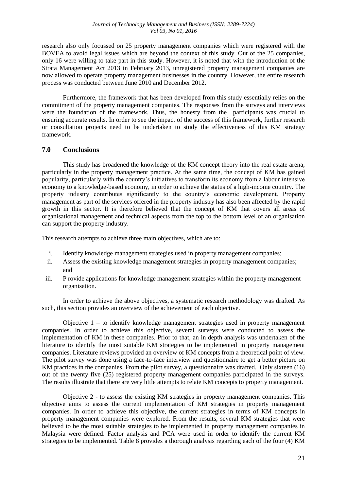research also only focussed on 25 property management companies which were registered with the BOVEA to avoid legal issues which are beyond the context of this study. Out of the 25 companies, only 16 were willing to take part in this study. However, it is noted that with the introduction of the Strata Management Act 2013 in February 2013, unregistered property management companies are now allowed to operate property management businesses in the country. However, the entire research process was conducted between June 2010 and December 2012.

Furthermore, the framework that has been developed from this study essentially relies on the commitment of the property management companies. The responses from the surveys and interviews were the foundation of the framework. Thus, the honesty from the participants was crucial to ensuring accurate results. In order to see the impact of the success of this framework, further research or consultation projects need to be undertaken to study the effectiveness of this KM strategy framework.

# **7.0 Conclusions**

This study has broadened the knowledge of the KM concept theory into the real estate arena, particularly in the property management practice. At the same time, the concept of KM has gained popularity, particularly with the country's initiatives to transform its economy from a labour intensive economy to a knowledge-based economy, in order to achieve the status of a high-income country. The property industry contributes significantly to the country's economic development. Property management as part of the services offered in the property industry has also been affected by the rapid growth in this sector. It is therefore believed that the concept of KM that covers all areas of organisational management and technical aspects from the top to the bottom level of an organisation can support the property industry.

This research attempts to achieve three main objectives, which are to:

- i. Identify knowledge management strategies used in property management companies;
- ii. Assess the existing knowledge management strategies in property management companies; and
- iii. P rovide applications for knowledge management strategies within the property management organisation.

In order to achieve the above objectives, a systematic research methodology was drafted. As such, this section provides an overview of the achievement of each objective.

Objective 1 – to identify knowledge management strategies used in property management companies. In order to achieve this objective, several surveys were conducted to assess the implementation of KM in these companies. Prior to that, an in depth analysis was undertaken of the literature to identify the most suitable KM strategies to be implemented in property management companies. Literature reviews provided an overview of KM concepts from a theoretical point of view. The pilot survey was done using a face-to-face interview and questionnaire to get a better picture on KM practices in the companies. From the pilot survey, a questionnaire was drafted. Only sixteen (16) out of the twenty five (25) registered property management companies participated in the surveys. The results illustrate that there are very little attempts to relate KM concepts to property management.

Objective 2 - to assess the existing KM strategies in property management companies. This objective aims to assess the current implementation of KM strategies in property management companies. In order to achieve this objective, the current strategies in terms of KM concepts in property management companies were explored. From the results, several KM strategies that were believed to be the most suitable strategies to be implemented in property management companies in Malaysia were defined. Factor analysis and PCA were used in order to identify the current KM strategies to be implemented. Table 8 provides a thorough analysis regarding each of the four (4) KM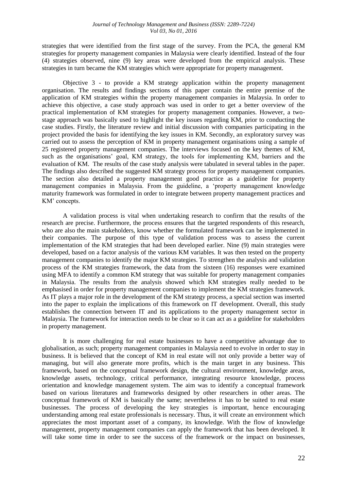strategies that were identified from the first stage of the survey. From the PCA, the general KM strategies for property management companies in Malaysia were clearly identified. Instead of the four (4) strategies observed, nine (9) key areas were developed from the empirical analysis. These strategies in turn became the KM strategies which were appropriate for property management.

Objective 3 - to provide a KM strategy application within the property management organisation. The results and findings sections of this paper contain the entire premise of the application of KM strategies within the property management companies in Malaysia. In order to achieve this objective, a case study approach was used in order to get a better overview of the practical implementation of KM strategies for property management companies. However, a twostage approach was basically used to highlight the key issues regarding KM, prior to conducting the case studies. Firstly, the literature review and initial discussion with companies participating in the project provided the basis for identifying the key issues in KM. Secondly, an exploratory survey was carried out to assess the perception of KM in property management organisations using a sample of 25 registered property management companies. The interviews focused on the key themes of KM, such as the organisations' goal, KM strategy, the tools for implementing KM, barriers and the evaluation of KM. The results of the case study analysis were tabulated in several tables in the paper. The findings also described the suggested KM strategy process for property management companies. The section also detailed a property management good practice as a guideline for property management companies in Malaysia. From the guideline, a 'property management knowledge maturity framework was formulated in order to integrate between property management practices and KM' concepts.

A validation process is vital when undertaking research to confirm that the results of the research are precise. Furthermore, the process ensures that the targeted respondents of this research, who are also the main stakeholders, know whether the formulated framework can be implemented in their companies. The purpose of this type of validation process was to assess the current implementation of the KM strategies that had been developed earlier. Nine (9) main strategies were developed, based on a factor analysis of the various KM variables. It was then tested on the property management companies to identify the major KM strategies. To strengthen the analysis and validation process of the KM strategies framework, the data from the sixteen (16) responses were examined using MFA to identify a common KM strategy that was suitable for property management companies in Malaysia. The results from the analysis showed which KM strategies really needed to be emphasised in order for property management companies to implement the KM strategies framework. As IT plays a major role in the development of the KM strategy process, a special section was inserted into the paper to explain the implications of this framework on IT development. Overall, this study establishes the connection between IT and its applications to the property management sector in Malaysia. The framework for interaction needs to be clear so it can act as a guideline for stakeholders in property management.

It is more challenging for real estate businesses to have a competitive advantage due to globalisation, as such; property management companies in Malaysia need to evolve in order to stay in business. It is believed that the concept of KM in real estate will not only provide a better way of managing, but will also generate more profits, which is the main target in any business. This framework, based on the conceptual framework design, the cultural environment, knowledge areas, knowledge assets, technology, critical performance, integrating resource knowledge, process orientation and knowledge management system. The aim was to identify a conceptual framework based on various literatures and frameworks designed by other researchers in other areas. The conceptual framework of KM is basically the same; nevertheless it has to be suited to real estate businesses. The process of developing the key strategies is important, hence encouraging understanding among real estate professionals is necessary. Thus, it will create an environment which appreciates the most important asset of a company, its knowledge. With the flow of knowledge management, property management companies can apply the framework that has been developed. It will take some time in order to see the success of the framework or the impact on businesses,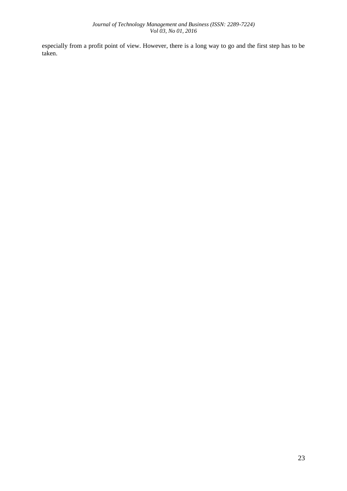especially from a profit point of view. However, there is a long way to go and the first step has to be taken.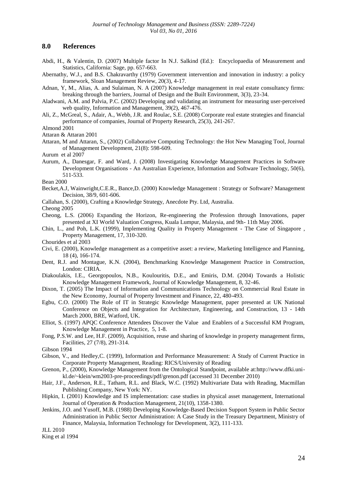### **8.0 References**

Abdi, H., & Valentin, D. (2007) Multiple factor In N.J. Salkind (Ed.): Encyclopaedia of Measurement and Statistics, California: Sage, pp. 657-663.

Abernathy, W.J., and B.S. Chakravarthy (1979) Government intervention and innovation in industry: a policy framework, Sloan Management Review, 20(3), 4-17.

- Adnan, Y, M., Alias, A. and Sulaiman, N. A (2007) Knowledge management in real estate consultancy firms: breaking through the barriers, Journal of Design and the Built Environment, 3(3), 23-34.
- Aladwani, A.M. and Palvia, P.C. (2002) Developing and validating an instrument for measuring user-perceived web quality, Information and Management, 39(2), 467-476.
- Ali, Z., McGreal, S., Adair, A., Webb, J.R. and Roulac, S.E. (2008) Corporate real estate strategies and financial performance of companies, Journal of Property Research, 25(3), 241-267.

- Attaran & Attaran 2001
- Attaran, M and Attaran, S., (2002) Collaborative Computing Technology: the Hot New Managing Tool, Journal of Management Development, 21(8): 598-609.
- Aurum et al 2007
- Aurum, A., Danesgar, F. and Ward, J. (2008) Investigating Knowledge Management Practices in Software Development Organisations - An Australian Experience, Information and Software Technology, 50(6), 511-533.

Bean 2000

- Becket,A.J, Wainwright,C.E.R., Bance,D. (2000) Knowledge Management : Strategy or Software? Management Decision, 38/9, 601-606.
- Callahan, S. (2000), Crafting a Knowledge Strategy, Anecdote Pty. Ltd, Australia.

Cheong 2005

- Cheong, L.S. (2006) Expanding the Horizon, Re-engineering the Profession through Innovations, paper presented at XI World Valuation Congress, Kuala Lumpur, Malaysia, and 9th- 11th May 2006.
- Chin, L., and Poh, L.K. (1999), Implementing Quality in Property Management The Case of Singapore , Property Management, 17, 310-320.

Chourides et al 2003

- Civi, E. (2000), Knowledge management as a competitive asset: a review, Marketing Intelligence and Planning, 18 (4), 166-174.
- Dent, R.J. and Montague, K.N. (2004), Benchmarking Knowledge Management Practice in Construction, London: CIRIA.
- Diakoulakis, I.E., Georgopoulos, N.B., Koulouritis, D.E., and Emiris, D.M. (2004) Towards a Holistic Knowledge Management Framework, Journal of Knowledge Management, 8, 32-46.
- Dixon, T. (2005) The Impact of Information and Communications Technology on Commercial Real Estate in the New Economy, Journal of Property Investment and Finance, 22, 480-493.
- Egbu, C.O. (2000) The Role of IT in Strategic Knowledge Management, paper presented at UK National Conference on Objects and Integration for Architecture, Engineering, and Construction, 13 - 14th March 2000, BRE, Watford, UK.
- Elliot, S. (1997) APQC Conference Attendees Discover the Value and Enablers of a Successful KM Program, Knowledge Management in Practice, 5, 1-8.
- Fong, P.S.W. and Lee, H.F. (2009), Acquisition, reuse and sharing of knowledge in property management firms, Facilities, 27 (7/8), 291-314.

Gibson 1994

- Gibson, V., and Hedley,C. (1999), Information and Performance Measurement: A Study of Current Practice in Corporate Property Management, Reading: RICS/University of Reading
- Grenon, P., (2000), Knowledge Management from the Ontological Standpoint, available at:http://www.dfki.unikl.de/~klein/wm2003-pre-proceedings/pdf/grenon.pdf (accessed 31 December 2010)
- Hair, J.F., Anderson, R.E., Tatham, R.L. and Black, W.C. (1992) Multivariate Data with Reading, Macmillan Publishing Company, New York: NY.
- Hipkin, I. (2001) Knowledge and IS implementation: case studies in physical asset management, International Journal of Operation & Production Management, 21(10), 1358-1380.
- Jenkins, J.O. and Yusoff, M.B. (1988) Developing Knowledge-Based Decision Support System in Public Sector Administration in Public Sector Administration: A Case Study in the Treasury Department, Ministry of Finance, Malaysia, Information Technology for Development, 3(2), 111-133.

JLL 2010

King et al 1994

Almond 2001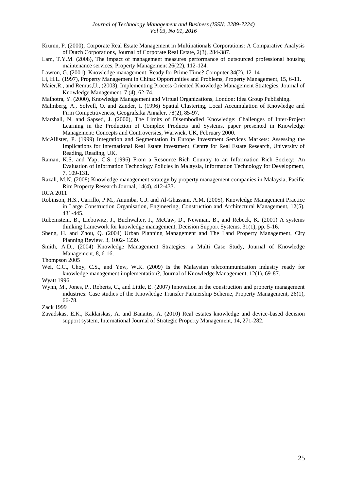- Krumn, P. (2000), Corporate Real Estate Management in Multinationals Corporations: A Comparative Analysis of Dutch Corporations, Journal of Corporate Real Estate, 2(3), 284-387.
- Lam, T.Y.M. (2008), The impact of management measures performance of outsourced professional housing maintenance services, Property Management 26(22), 112-124.
- Lawton, G. (2001), Knowledge management: Ready for Prime Time? Computer 34(2), 12-14
- Li, H.L. (1997), Property Management in China: Opportunities and Problems, Property Management, 15, 6-11.
- Maier,R., and Remus,U., (2003), Implementing Process Oriented Knowledge Management Strategies, Journal of Knowledge Management, 7 (4), 62-74.
- Malhotra, Y. (2000), Knowledge Management and Virtual Organizations, London: Idea Group Publishing.
- Malmberg, A., Solvell, O. and Zander, I. (1996) Spatial Clustering, Local Accumulation of Knowledge and Firm Competitiveness, Geografsika Annaler, 78(2), 85-97.
- Marshall, N. and Sapsed, J. (2000), The Limits of Disembodied Knowledge: Challenges of Inter-Project Learning in the Production of Complex Products and Systems, paper presented in Knowledge Management: Concepts and Controversies, Warwick, UK, February 2000.
- McAllister, P. (1999) Integration and Segmentation in Europe Investment Services Markets: Assessing the Implications for International Real Estate Investment, Centre for Real Estate Research, University of Reading, Reading, UK.
- Raman, K.S. and Yap, C.S. (1996) From a Resource Rich Country to an Information Rich Society: An Evaluation of Information Technology Policies in Malaysia, Information Technology for Development, 7, 109-131.
- Razali, M.N. (2008) Knowledge management strategy by property management companies in Malaysia, Pacific Rim Property Research Journal, 14(4), 412-433.
- RCA 2011
- Robinson, H.S., Carrillo, P.M., Anumba, C.J. and Al-Ghassani, A.M. (2005), Knowledge Management Practice in Large Construction Organisation, Engineering, Construction and Architectural Management, 12(5), 431-445.
- Rubeinstein, B., Liebowitz, J., Buchwalter, J., McCaw, D., Newman, B., and Rebeck, K. (2001) A systems thinking framework for knowledge management, Decision Support Systems. 31(1), pp. 5-16.
- Sheng, H. and Zhou, Q. (2004) Urban Planning Management and The Land Property Management, City Planning Review, 3, 1002- 1239.
- Smith, A.D., (2004) Knowledge Management Strategies: a Multi Case Study, Journal of Knowledge Management, 8, 6-16.

Thompson 2005

Wei, C.C., Choy, C.S., and Yew, W.K. (2009) Is the Malaysian telecommunication industry ready for knowledge management implementation?, Journal of Knowledge Management, 12(1), 69-87.

Wyatt 1996

Wynn, M., Jones, P., Roberts, C., and Little, E. (2007) Innovation in the construction and property management industries: Case studies of the Knowledge Transfer Partnership Scheme, Property Management, 26(1), 66-78.

Zack 1999

Zavadskas, E.K., Kaklaiskas, A. and Banaitis, A. (2010) Real estates knowledge and device-based decision support system, International Journal of Strategic Property Management, 14, 271-282.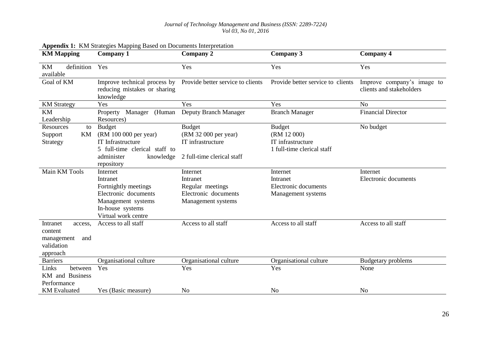| <b>KM Mapping</b>                                                             | <b>Company 1</b>                                                                                                                             | <b>Company 2</b>                                                                         | Company 3                                                                       | <b>Company 4</b>                                       |
|-------------------------------------------------------------------------------|----------------------------------------------------------------------------------------------------------------------------------------------|------------------------------------------------------------------------------------------|---------------------------------------------------------------------------------|--------------------------------------------------------|
| definition<br><b>KM</b><br>available                                          | Yes                                                                                                                                          | Yes                                                                                      | Yes                                                                             | Yes                                                    |
| Goal of KM                                                                    | Improve technical process by<br>reducing mistakes or sharing<br>knowledge                                                                    | Provide better service to clients                                                        | Provide better service to clients                                               | Improve company's image to<br>clients and stakeholders |
| <b>KM</b> Strategy                                                            | Yes                                                                                                                                          | Yes                                                                                      | Yes                                                                             | N <sub>0</sub>                                         |
| <b>KM</b><br>Leadership                                                       | (Human<br>Property<br>Manager<br>Resources)                                                                                                  | Deputy Branch Manager                                                                    | <b>Branch Manager</b>                                                           | <b>Financial Director</b>                              |
| Resources<br>to<br>KM<br>Support<br>Strategy                                  | <b>Budget</b><br>(RM 100 000 per year)<br><b>IT</b> Infrastructure<br>5 full-time clerical staff to<br>administer<br>knowledge<br>repository | <b>Budget</b><br>(RM 32 000 per year)<br>IT infrastructure<br>2 full-time clerical staff | <b>Budget</b><br>(RM 12 000)<br>IT infrastructure<br>1 full-time clerical staff | No budget                                              |
| Main KM Tools                                                                 | Internet<br>Intranet<br>Fortnightly meetings<br>Electronic documents<br>Management systems<br>In-house systems<br>Virtual work centre        | Internet<br>Intranet<br>Regular meetings<br>Electronic documents<br>Management systems   | Internet<br>Intranet<br>Electronic documents<br>Management systems              | Internet<br>Electronic documents                       |
| Intranet<br>access.<br>content<br>and<br>management<br>validation<br>approach | Access to all staff                                                                                                                          | Access to all staff                                                                      | Access to all staff                                                             | Access to all staff                                    |
| <b>Barriers</b>                                                               | Organisational culture                                                                                                                       | Organisational culture                                                                   | Organisational culture                                                          | Budgetary problems                                     |
| Links<br>between<br>KM and Business<br>Performance                            | Yes                                                                                                                                          | Yes                                                                                      | Yes                                                                             | None                                                   |
| <b>KM</b> Evaluated                                                           | Yes (Basic measure)                                                                                                                          | N <sub>o</sub>                                                                           | N <sub>o</sub>                                                                  | N <sub>o</sub>                                         |

# **Appendix 1:** KM Strategies Mapping Based on Documents Interpretation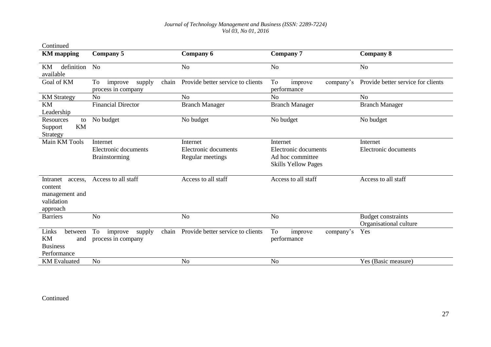| Continued                                                                  |                                                        |                                   |                                                |                                                     |
|----------------------------------------------------------------------------|--------------------------------------------------------|-----------------------------------|------------------------------------------------|-----------------------------------------------------|
| <b>KM</b> mapping                                                          | <b>Company 5</b>                                       | Company 6                         | <b>Company 7</b>                               | <b>Company 8</b>                                    |
| definition<br><b>KM</b><br>available                                       | N <sub>0</sub>                                         | N <sub>o</sub>                    | N <sub>o</sub>                                 | N <sub>o</sub>                                      |
| Goal of KM                                                                 | To<br>chain<br>improve<br>supply<br>process in company | Provide better service to clients | To<br>improve<br>company's<br>performance      | Provide better service for clients                  |
| <b>KM</b> Strategy                                                         | N <sub>o</sub>                                         | N <sub>o</sub>                    | N <sub>o</sub>                                 | N <sub>o</sub>                                      |
| <b>KM</b><br>Leadership                                                    | <b>Financial Director</b>                              | <b>Branch Manager</b>             | <b>Branch Manager</b>                          | <b>Branch Manager</b>                               |
| Resources<br>to<br><b>KM</b><br>Support<br>Strategy                        | No budget                                              | No budget                         | No budget                                      | No budget                                           |
| Main KM Tools                                                              | Internet                                               | Internet                          | Internet                                       | Internet                                            |
|                                                                            | Electronic documents                                   | Electronic documents              | Electronic documents                           | Electronic documents                                |
|                                                                            | Brainstorming                                          | Regular meetings                  | Ad hoc committee<br><b>Skills Yellow Pages</b> |                                                     |
| Intranet<br>access,<br>content<br>management and<br>validation<br>approach | Access to all staff                                    | Access to all staff               | Access to all staff                            | Access to all staff                                 |
| <b>Barriers</b>                                                            | N <sub>o</sub>                                         | N <sub>o</sub>                    | N <sub>o</sub>                                 | <b>Budget constraints</b><br>Organisational culture |
| Links<br>between<br>KM<br>and<br><b>Business</b><br>Performance            | To<br>chain<br>improve<br>supply<br>process in company | Provide better service to clients | To<br>improve<br>company's<br>performance      | Yes                                                 |
| <b>KM</b> Evaluated                                                        | N <sub>o</sub>                                         | N <sub>o</sub>                    | N <sub>o</sub>                                 | Yes (Basic measure)                                 |

### Continued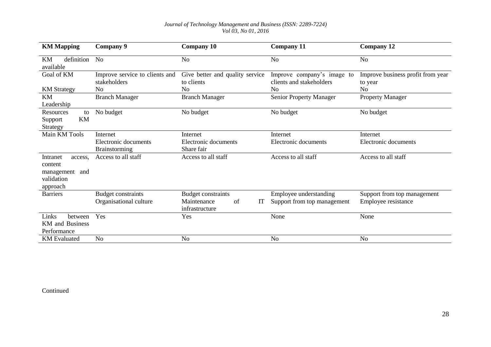| <b>KM Mapping</b>                                                             | Company 9                                      | <b>Company 10</b>                             | <b>Company 11</b>                                      | <b>Company 12</b>                            |
|-------------------------------------------------------------------------------|------------------------------------------------|-----------------------------------------------|--------------------------------------------------------|----------------------------------------------|
| definition No<br>KM<br>available                                              |                                                | N <sub>o</sub>                                | No                                                     | N <sub>o</sub>                               |
| Goal of KM                                                                    | Improve service to clients and<br>stakeholders | Give better and quality service<br>to clients | Improve company's image to<br>clients and stakeholders | Improve business profit from year<br>to year |
| <b>KM</b> Strategy                                                            | N <sub>o</sub>                                 | N <sub>0</sub>                                | No                                                     | N <sub>o</sub>                               |
| <b>KM</b><br>Leadership                                                       | <b>Branch Manager</b>                          | <b>Branch Manager</b>                         | Senior Property Manager                                | <b>Property Manager</b>                      |
| Resources<br>to<br>KM<br>Support<br>Strategy                                  | No budget                                      | No budget                                     | No budget                                              | No budget                                    |
| Main KM Tools                                                                 | Internet                                       | Internet                                      | Internet                                               | Internet                                     |
|                                                                               | Electronic documents<br>Brainstorming          | Electronic documents<br>Share fair            | Electronic documents                                   | Electronic documents                         |
| Intranet<br>access.<br>content<br>management<br>and<br>validation<br>approach | Access to all staff                            | Access to all staff                           | Access to all staff                                    | Access to all staff                          |
| <b>Barriers</b>                                                               | <b>Budget constraints</b>                      | <b>Budget constraints</b>                     | Employee understanding                                 | Support from top management                  |
|                                                                               | Organisational culture                         | Maintenance<br>of<br>IT<br>infrastructure     | Support from top management                            | Employee resistance                          |
| Links<br>between<br><b>KM</b> and Business<br>Performance                     | Yes                                            | Yes                                           | None                                                   | None                                         |
| <b>KM</b> Evaluated                                                           | No                                             | N <sub>o</sub>                                | N <sub>o</sub>                                         | N <sub>o</sub>                               |

Continued